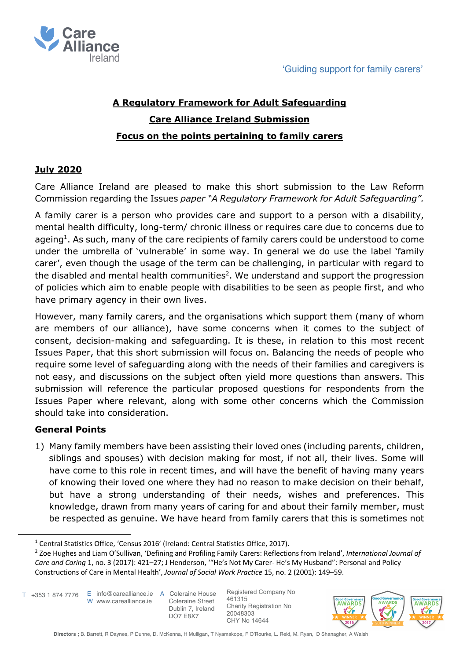

# **A Regulatory Framework for Adult Safeguarding Care Alliance Ireland Submission Focus on the points pertaining to family carers**

# **July 2020**

Care Alliance Ireland are pleased to make this short submission to the Law Reform Commission regarding the Issues *paper "A Regulatory Framework for Adult Safeguarding".*

A family carer is a person who provides care and support to a person with a disability, mental health difficulty, long-term/ chronic illness or requires care due to concerns due to ageing<sup>1</sup>. As such, many of the care recipients of family carers could be understood to come under the umbrella of 'vulnerable' in some way. In general we do use the label 'family carer', even though the usage of the term can be challenging, in particular with regard to the disabled and mental health communities<sup>2</sup>. We understand and support the progression of policies which aim to enable people with disabilities to be seen as people first, and who have primary agency in their own lives.

However, many family carers, and the organisations which support them (many of whom are members of our alliance), have some concerns when it comes to the subject of consent, decision-making and safeguarding. It is these, in relation to this most recent Issues Paper, that this short submission will focus on. Balancing the needs of people who require some level of safeguarding along with the needs of their families and caregivers is not easy, and discussions on the subject often yield more questions than answers. This submission will reference the particular proposed questions for respondents from the Issues Paper where relevant, along with some other concerns which the Commission should take into consideration.

## **General Points**

1) Many family members have been assisting their loved ones (including parents, children, siblings and spouses) with decision making for most, if not all, their lives. Some will have come to this role in recent times, and will have the benefit of having many years of knowing their loved one where they had no reason to make decision on their behalf, but have a strong understanding of their needs, wishes and preferences. This knowledge, drawn from many years of caring for and about their family member, must be respected as genuine. We have heard from family carers that this is sometimes not

W www.carealliance.ie T +353 1 874 7776



<sup>&</sup>lt;sup>1</sup> Central Statistics Office, 'Census 2016' (Ireland: Central Statistics Office, 2017).

<sup>2</sup> Zoe Hughes and Liam O'Sullivan, 'Defining and Profiling Family Carers: Reflections from Ireland', *International Journal of Care and Caring* 1, no. 3 (2017): 421–27; J Henderson, '"He's Not My Carer- He's My Husband": Personal and Policy Constructions of Care in Mental Health', *Journal of Social Work Practice* 15, no. 2 (2001): 149–59.

E info@carealliance.ie A Coleraine House Coleraine Street Dublin 7, Ireland DO7 E8X7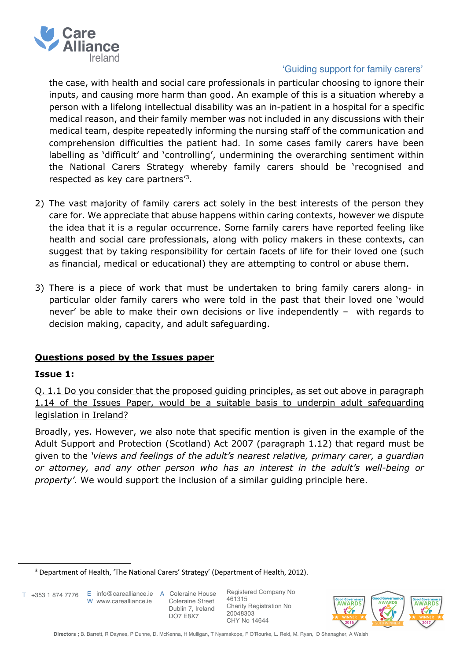

### 'Guiding support for family carers'

the case, with health and social care professionals in particular choosing to ignore their inputs, and causing more harm than good. An example of this is a situation whereby a person with a lifelong intellectual disability was an in-patient in a hospital for a specific medical reason, and their family member was not included in any discussions with their medical team, despite repeatedly informing the nursing staff of the communication and comprehension difficulties the patient had. In some cases family carers have been labelling as 'difficult' and 'controlling', undermining the overarching sentiment within the National Carers Strategy whereby family carers should be 'recognised and respected as key care partners'3.

- 2) The vast majority of family carers act solely in the best interests of the person they care for. We appreciate that abuse happens within caring contexts, however we dispute the idea that it is a regular occurrence. Some family carers have reported feeling like health and social care professionals, along with policy makers in these contexts, can suggest that by taking responsibility for certain facets of life for their loved one (such as financial, medical or educational) they are attempting to control or abuse them.
- 3) There is a piece of work that must be undertaken to bring family carers along- in particular older family carers who were told in the past that their loved one 'would never' be able to make their own decisions or live independently – with regards to decision making, capacity, and adult safeguarding.

## **Questions posed by the Issues paper**

#### **Issue 1:**

Q. 1.1 Do you consider that the proposed guiding principles, as set out above in paragraph 1.14 of the Issues Paper, would be a suitable basis to underpin adult safeguarding legislation in Ireland?

Broadly, yes. However, we also note that specific mention is given in the example of the Adult Support and Protection (Scotland) Act 2007 (paragraph 1.12) that regard must be given to the *'views and feelings of the adult's nearest relative, primary carer, a guardian or attorney, and any other person who has an interest in the adult's well-being or property'.* We would support the inclusion of a similar guiding principle here.

T +353 1 874 7776

W www.carealliance.je

E info@carealliance.ie A Coleraine House Coleraine Street Dublin 7, Ireland DO7 E8X7



<sup>&</sup>lt;sup>3</sup> Department of Health, 'The National Carers' Strategy' (Department of Health, 2012).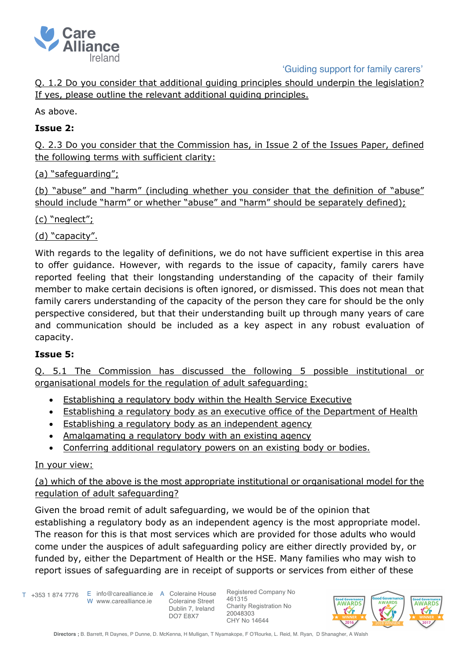

'Guiding support for family carers'

Q. 1.2 Do you consider that additional guiding principles should underpin the legislation? If yes, please outline the relevant additional guiding principles.

As above.

## **Issue 2:**

Q. 2.3 Do you consider that the Commission has, in Issue 2 of the Issues Paper, defined the following terms with sufficient clarity:

# (a) "safeguarding";

(b) "abuse" and "harm" (including whether you consider that the definition of "abuse" should include "harm" or whether "abuse" and "harm" should be separately defined);

## (c) "neglect";

(d) "capacity".

With regards to the legality of definitions, we do not have sufficient expertise in this area to offer guidance. However, with regards to the issue of capacity, family carers have reported feeling that their longstanding understanding of the capacity of their family member to make certain decisions is often ignored, or dismissed. This does not mean that family carers understanding of the capacity of the person they care for should be the only perspective considered, but that their understanding built up through many years of care and communication should be included as a key aspect in any robust evaluation of capacity.

## **Issue 5:**

Q. 5.1 The Commission has discussed the following 5 possible institutional or organisational models for the regulation of adult safeguarding:

- Establishing a regulatory body within the Health Service Executive
- Establishing a regulatory body as an executive office of the Department of Health
- Establishing a regulatory body as an independent agency
- Amalgamating a regulatory body with an existing agency
- Conferring additional regulatory powers on an existing body or bodies.

## In your view:

(a) which of the above is the most appropriate institutional or organisational model for the regulation of adult safeguarding?

Given the broad remit of adult safeguarding, we would be of the opinion that establishing a regulatory body as an independent agency is the most appropriate model. The reason for this is that most services which are provided for those adults who would come under the auspices of adult safeguarding policy are either directly provided by, or funded by, either the Department of Health or the HSE. Many families who may wish to report issues of safeguarding are in receipt of supports or services from either of these

T +353 1 874 7776

E info@carealliance.ie A Coleraine House W www.carealliance.je

 Coleraine Street Dublin 7, Ireland DO7 E8X7